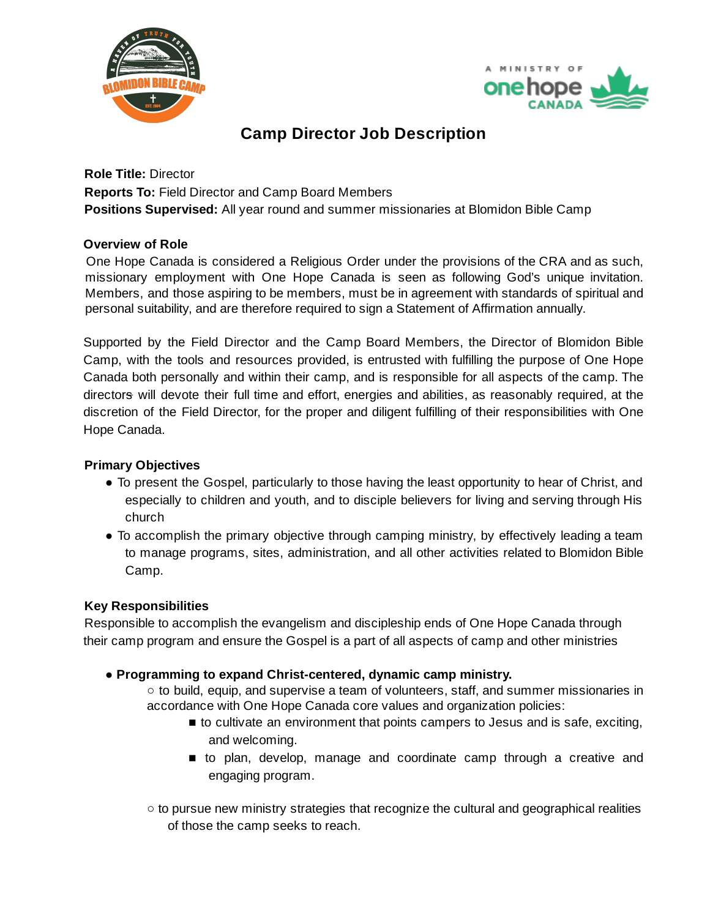



# **Camp Director Job Description**

**Role Title:** Director **Reports To:** Field Director and Camp Board Members **Positions Supervised:** All year round and summer missionaries at Blomidon Bible Camp

## **Overview of Role**

One Hope Canada is considered a Religious Order under the provisions of the CRA and as such, missionary employment with One Hope Canada is seen as following God's unique invitation. Members, and those aspiring to be members, must be in agreement with standards of spiritual and personal suitability, and are therefore required to sign a Statement of Affirmation annually.

Supported by the Field Director and the Camp Board Members, the Director of Blomidon Bible Camp, with the tools and resources provided, is entrusted with fulfilling the purpose of One Hope Canada both personally and within their camp, and is responsible for all aspects of the camp. The directors will devote their full time and effort, energies and abilities, as reasonably required, at the discretion of the Field Director, for the proper and diligent fulfilling of their responsibilities with One Hope Canada.

## **Primary Objectives**

- To present the Gospel, particularly to those having the least opportunity to hear of Christ, and especially to children and youth, and to disciple believers for living and serving through His church
- To accomplish the primary objective through camping ministry, by effectively leading a team to manage programs, sites, administration, and all other activities related to Blomidon Bible Camp.

## **Key Responsibilities**

Responsible to accomplish the evangelism and discipleship ends of One Hope Canada through their camp program and ensure the Gospel is a part of all aspects of camp and other ministries

**● Programming to expand Christ-centered, dynamic camp ministry.**

 $\circ$  to build, equip, and supervise a team of volunteers, staff, and summer missionaries in accordance with One Hope Canada core values and organization policies:

- to cultivate an environment that points campers to Jesus and is safe, exciting, and welcoming.
- to plan, develop, manage and coordinate camp through a creative and engaging program.
- to pursue new ministry strategies that recognize the cultural and geographical realities of those the camp seeks to reach.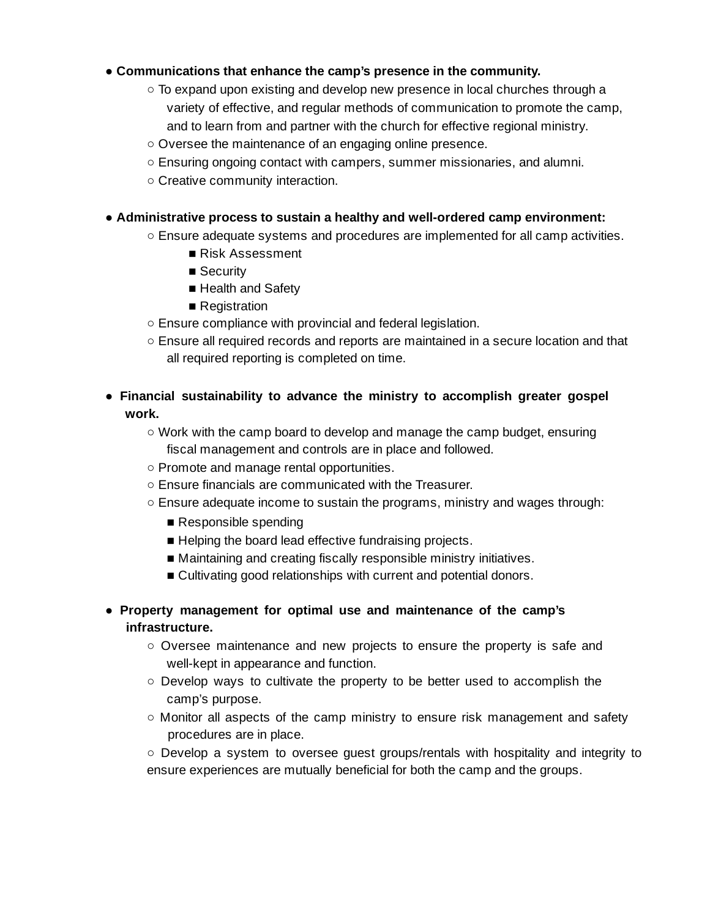### **● Communications that enhance the camp's presence in the community.**

- To expand upon existing and develop new presence in local churches through a variety of effective, and regular methods of communication to promote the camp, and to learn from and partner with the church for effective regional ministry.
- Oversee the maintenance of an engaging online presence.
- Ensuring ongoing contact with campers, summer missionaries, and alumni.
- Creative community interaction.

### **● Administrative process to sustain a healthy and well-ordered camp environment:**

- **○** Ensure adequate systems and procedures are implemented for all camp activities.
	- Risk Assessment
	- Security
	- Health and Safety
	- Registration
- Ensure compliance with provincial and federal legislation.
- **○** Ensure all required records and reports are maintained in a secure location and that all required reporting is completed on time.
- **Financial sustainability to advance the ministry to accomplish greater gospel work.**
	- Work with the camp board to develop and manage the camp budget, ensuring fiscal management and controls are in place and followed.
	- Promote and manage rental opportunities.
	- Ensure financials are communicated with the Treasurer.
	- Ensure adequate income to sustain the programs, ministry and wages through:
		- Responsible spending
		- Helping the board lead effective fundraising projects.
		- Maintaining and creating fiscally responsible ministry initiatives.
		- Cultivating good relationships with current and potential donors.
- **● Property management for optimal use and maintenance of the camp's infrastructure.**
	- Oversee maintenance and new projects to ensure the property is safe and well-kept in appearance and function.
	- Develop ways to cultivate the property to be better used to accomplish the camp's purpose.
	- $\circ$  Monitor all aspects of the camp ministry to ensure risk management and safety procedures are in place.

○ Develop a system to oversee guest groups/rentals with hospitality and integrity to ensure experiences are mutually beneficial for both the camp and the groups.